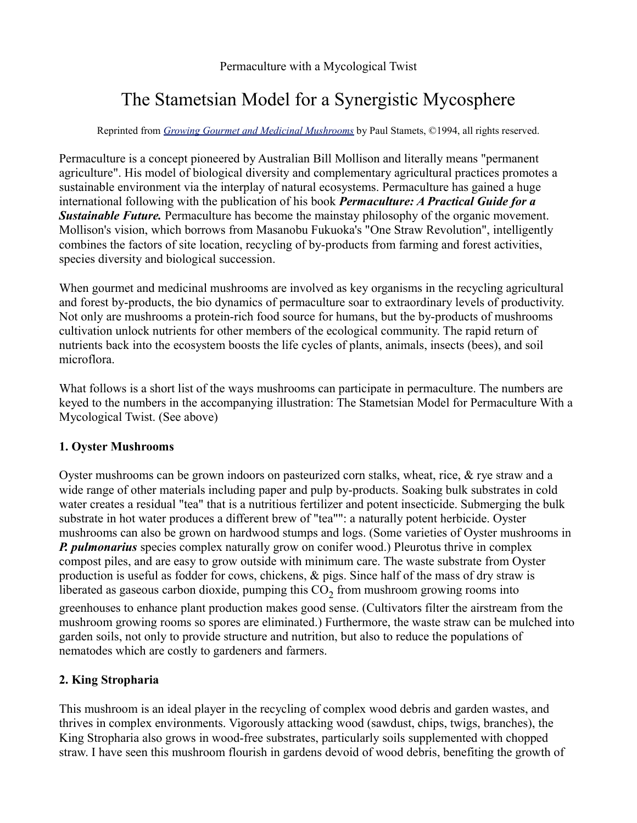Permaculture with a Mycological Twist

# The Stametsian Model for a Synergistic Mycosphere

Reprinted from *[Growing Gourmet and Medicinal Mushrooms](http://www.fungi.com/books/cultivation.html#BCGGM)* by Paul Stamets, ©1994, all rights reserved.

Permaculture is a concept pioneered by Australian Bill Mollison and literally means "permanent agriculture". His model of biological diversity and complementary agricultural practices promotes a sustainable environment via the interplay of natural ecosystems. Permaculture has gained a huge international following with the publication of his book *Permaculture: A Practical Guide for a Sustainable Future.* Permaculture has become the mainstay philosophy of the organic movement. Mollison's vision, which borrows from Masanobu Fukuoka's "One Straw Revolution", intelligently combines the factors of site location, recycling of by-products from farming and forest activities, species diversity and biological succession.

When gourmet and medicinal mushrooms are involved as key organisms in the recycling agricultural and forest by-products, the bio dynamics of permaculture soar to extraordinary levels of productivity. Not only are mushrooms a protein-rich food source for humans, but the by-products of mushrooms cultivation unlock nutrients for other members of the ecological community. The rapid return of nutrients back into the ecosystem boosts the life cycles of plants, animals, insects (bees), and soil microflora.

What follows is a short list of the ways mushrooms can participate in permaculture. The numbers are keyed to the numbers in the accompanying illustration: The Stametsian Model for Permaculture With a Mycological Twist. (See above)

## **1. Oyster Mushrooms**

Oyster mushrooms can be grown indoors on pasteurized corn stalks, wheat, rice, & rye straw and a wide range of other materials including paper and pulp by-products. Soaking bulk substrates in cold water creates a residual "tea" that is a nutritious fertilizer and potent insecticide. Submerging the bulk substrate in hot water produces a different brew of "tea"": a naturally potent herbicide. Oyster mushrooms can also be grown on hardwood stumps and logs. (Some varieties of Oyster mushrooms in *P. pulmonarius* species complex naturally grow on conifer wood.) Pleurotus thrive in complex compost piles, and are easy to grow outside with minimum care. The waste substrate from Oyster production is useful as fodder for cows, chickens, & pigs. Since half of the mass of dry straw is liberated as gaseous carbon dioxide, pumping this  $CO_2$  from mushroom growing rooms into

greenhouses to enhance plant production makes good sense. (Cultivators filter the airstream from the mushroom growing rooms so spores are eliminated.) Furthermore, the waste straw can be mulched into garden soils, not only to provide structure and nutrition, but also to reduce the populations of nematodes which are costly to gardeners and farmers.

# **2. King Stropharia**

This mushroom is an ideal player in the recycling of complex wood debris and garden wastes, and thrives in complex environments. Vigorously attacking wood (sawdust, chips, twigs, branches), the King Stropharia also grows in wood-free substrates, particularly soils supplemented with chopped straw. I have seen this mushroom flourish in gardens devoid of wood debris, benefiting the growth of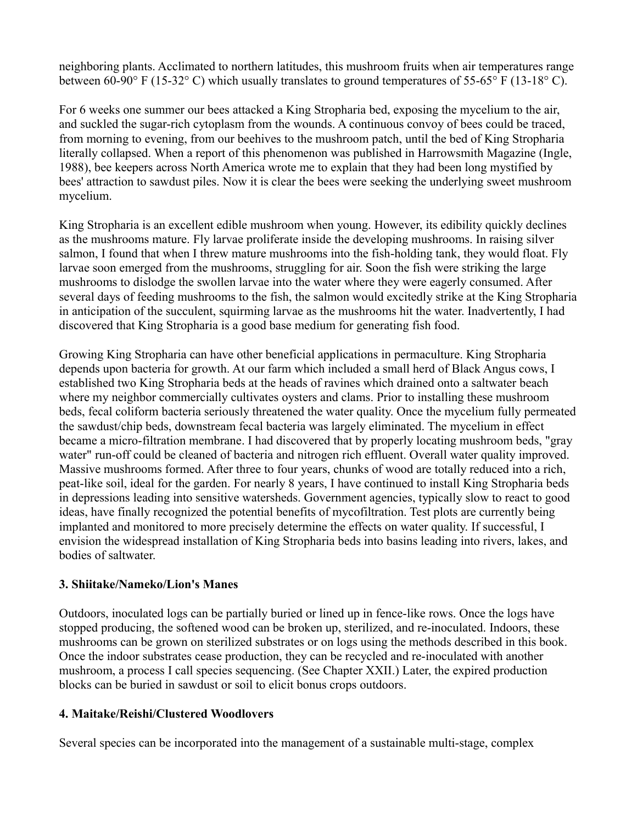neighboring plants. Acclimated to northern latitudes, this mushroom fruits when air temperatures range between 60-90° F (15-32° C) which usually translates to ground temperatures of 55-65° F (13-18° C).

For 6 weeks one summer our bees attacked a King Stropharia bed, exposing the mycelium to the air, and suckled the sugar-rich cytoplasm from the wounds. A continuous convoy of bees could be traced, from morning to evening, from our beehives to the mushroom patch, until the bed of King Stropharia literally collapsed. When a report of this phenomenon was published in Harrowsmith Magazine (Ingle, 1988), bee keepers across North America wrote me to explain that they had been long mystified by bees' attraction to sawdust piles. Now it is clear the bees were seeking the underlying sweet mushroom mycelium.

King Stropharia is an excellent edible mushroom when young. However, its edibility quickly declines as the mushrooms mature. Fly larvae proliferate inside the developing mushrooms. In raising silver salmon, I found that when I threw mature mushrooms into the fish-holding tank, they would float. Fly larvae soon emerged from the mushrooms, struggling for air. Soon the fish were striking the large mushrooms to dislodge the swollen larvae into the water where they were eagerly consumed. After several days of feeding mushrooms to the fish, the salmon would excitedly strike at the King Stropharia in anticipation of the succulent, squirming larvae as the mushrooms hit the water. Inadvertently, I had discovered that King Stropharia is a good base medium for generating fish food.

Growing King Stropharia can have other beneficial applications in permaculture. King Stropharia depends upon bacteria for growth. At our farm which included a small herd of Black Angus cows, I established two King Stropharia beds at the heads of ravines which drained onto a saltwater beach where my neighbor commercially cultivates oysters and clams. Prior to installing these mushroom beds, fecal coliform bacteria seriously threatened the water quality. Once the mycelium fully permeated the sawdust/chip beds, downstream fecal bacteria was largely eliminated. The mycelium in effect became a micro-filtration membrane. I had discovered that by properly locating mushroom beds, "gray water" run-off could be cleaned of bacteria and nitrogen rich effluent. Overall water quality improved. Massive mushrooms formed. After three to four years, chunks of wood are totally reduced into a rich, peat-like soil, ideal for the garden. For nearly 8 years, I have continued to install King Stropharia beds in depressions leading into sensitive watersheds. Government agencies, typically slow to react to good ideas, have finally recognized the potential benefits of mycofiltration. Test plots are currently being implanted and monitored to more precisely determine the effects on water quality. If successful, I envision the widespread installation of King Stropharia beds into basins leading into rivers, lakes, and bodies of saltwater.

## **3. Shiitake/Nameko/Lion's Manes**

Outdoors, inoculated logs can be partially buried or lined up in fence-like rows. Once the logs have stopped producing, the softened wood can be broken up, sterilized, and re-inoculated. Indoors, these mushrooms can be grown on sterilized substrates or on logs using the methods described in this book. Once the indoor substrates cease production, they can be recycled and re-inoculated with another mushroom, a process I call species sequencing. (See Chapter XXII.) Later, the expired production blocks can be buried in sawdust or soil to elicit bonus crops outdoors.

# **4. Maitake/Reishi/Clustered Woodlovers**

Several species can be incorporated into the management of a sustainable multi-stage, complex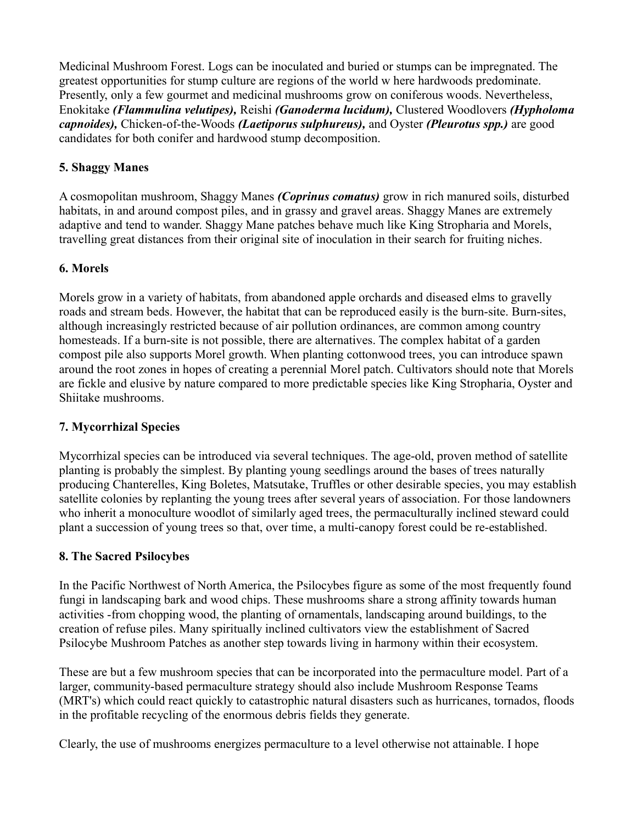Medicinal Mushroom Forest. Logs can be inoculated and buried or stumps can be impregnated. The greatest opportunities for stump culture are regions of the world w here hardwoods predominate. Presently, only a few gourmet and medicinal mushrooms grow on coniferous woods. Nevertheless, Enokitake *(Flammulina velutipes),* Reishi *(Ganoderma lucidum),* Clustered Woodlovers *(Hypholoma capnoides),* Chicken-of-the-Woods *(Laetiporus sulphureus),* and Oyster *(Pleurotus spp.)* are good candidates for both conifer and hardwood stump decomposition.

## **5. Shaggy Manes**

A cosmopolitan mushroom, Shaggy Manes *(Coprinus comatus)* grow in rich manured soils, disturbed habitats, in and around compost piles, and in grassy and gravel areas. Shaggy Manes are extremely adaptive and tend to wander. Shaggy Mane patches behave much like King Stropharia and Morels, travelling great distances from their original site of inoculation in their search for fruiting niches.

# **6. Morels**

Morels grow in a variety of habitats, from abandoned apple orchards and diseased elms to gravelly roads and stream beds. However, the habitat that can be reproduced easily is the burn-site. Burn-sites, although increasingly restricted because of air pollution ordinances, are common among country homesteads. If a burn-site is not possible, there are alternatives. The complex habitat of a garden compost pile also supports Morel growth. When planting cottonwood trees, you can introduce spawn around the root zones in hopes of creating a perennial Morel patch. Cultivators should note that Morels are fickle and elusive by nature compared to more predictable species like King Stropharia, Oyster and Shiitake mushrooms.

## **7. Mycorrhizal Species**

Mycorrhizal species can be introduced via several techniques. The age-old, proven method of satellite planting is probably the simplest. By planting young seedlings around the bases of trees naturally producing Chanterelles, King Boletes, Matsutake, Truffles or other desirable species, you may establish satellite colonies by replanting the young trees after several years of association. For those landowners who inherit a monoculture woodlot of similarly aged trees, the permaculturally inclined steward could plant a succession of young trees so that, over time, a multi-canopy forest could be re-established.

## **8. The Sacred Psilocybes**

In the Pacific Northwest of North America, the Psilocybes figure as some of the most frequently found fungi in landscaping bark and wood chips. These mushrooms share a strong affinity towards human activities -from chopping wood, the planting of ornamentals, landscaping around buildings, to the creation of refuse piles. Many spiritually inclined cultivators view the establishment of Sacred Psilocybe Mushroom Patches as another step towards living in harmony within their ecosystem.

These are but a few mushroom species that can be incorporated into the permaculture model. Part of a larger, community-based permaculture strategy should also include Mushroom Response Teams (MRT's) which could react quickly to catastrophic natural disasters such as hurricanes, tornados, floods in the profitable recycling of the enormous debris fields they generate.

Clearly, the use of mushrooms energizes permaculture to a level otherwise not attainable. I hope